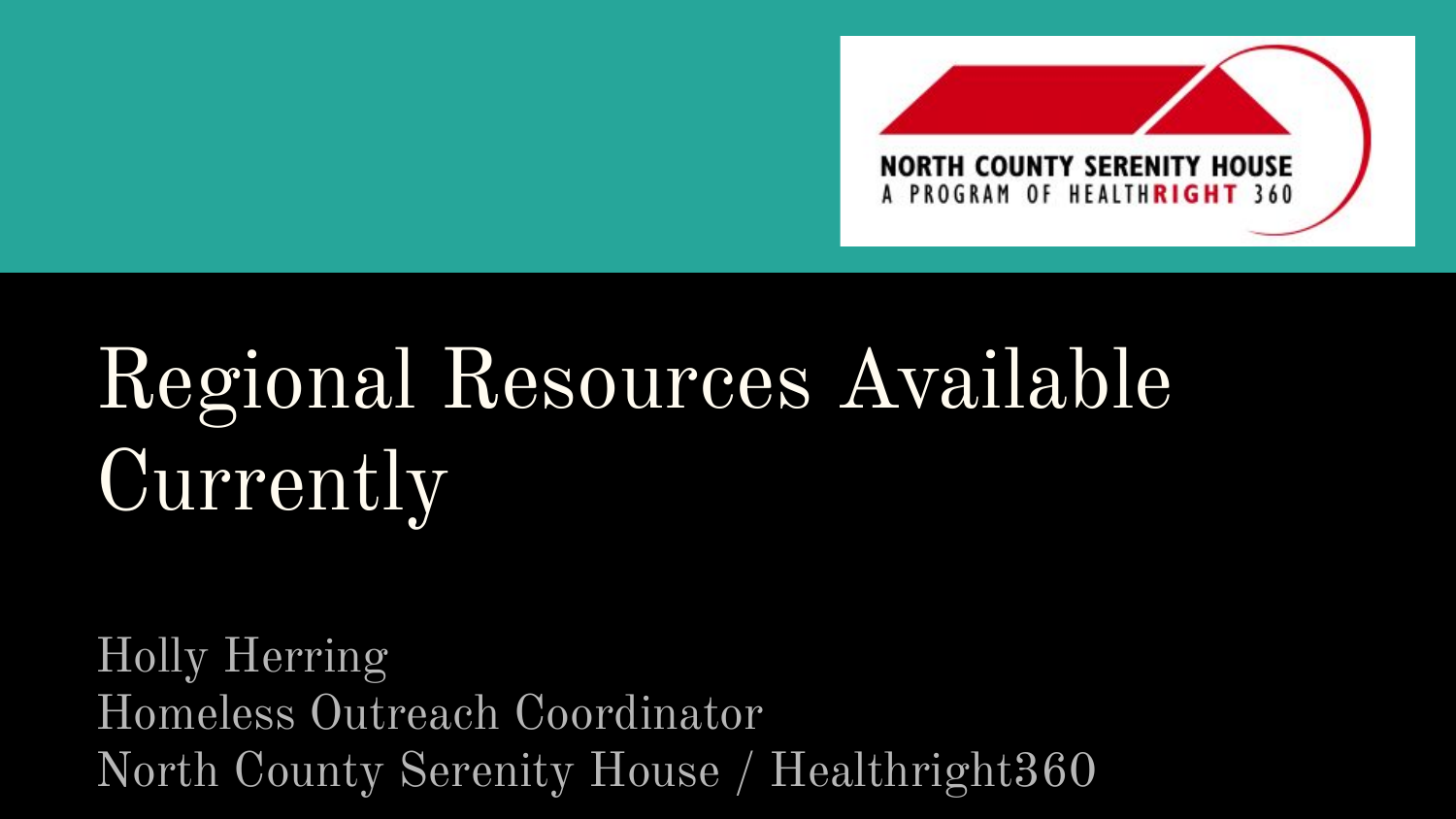

# Regional Resources Available **Currently**

Holly Herring Homeless Outreach Coordinator North County Serenity House / Healthright360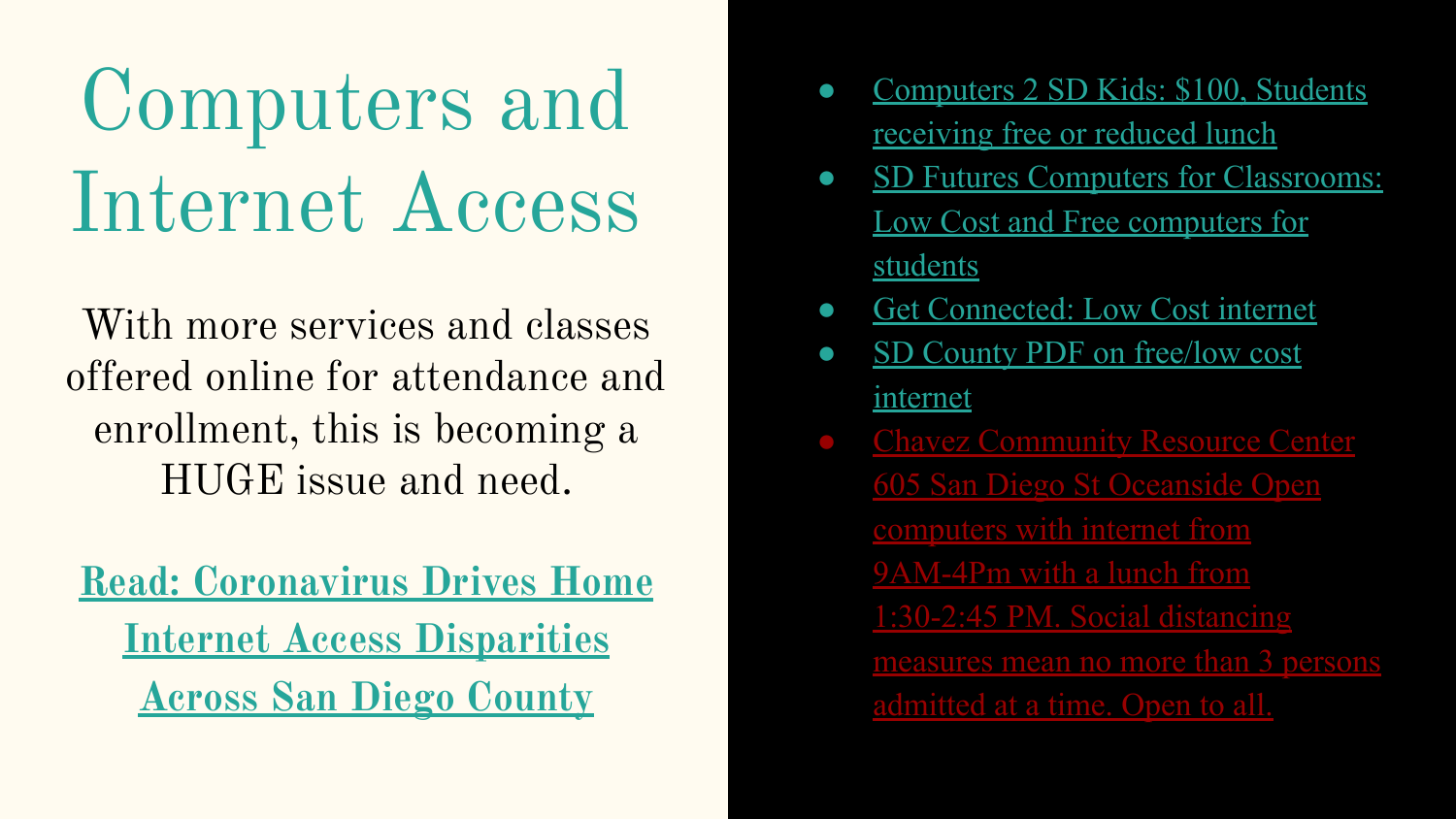# Computers and Internet Access

With more services and classes offered online for attendance and enrollment, this is becoming a HUGE issue and need.

**[Read: Coronavirus Drives Home](https://www.voiceofsandiego.org/topics/news/coronavirus-drives-home-internet-access-disparities-across-san-diego-county/) [Internet Access Disparities](https://www.voiceofsandiego.org/topics/news/coronavirus-drives-home-internet-access-disparities-across-san-diego-county/) [Across San Diego County](https://www.voiceofsandiego.org/topics/news/coronavirus-drives-home-internet-access-disparities-across-san-diego-county/)**

- [Computers 2 SD Kids: \\$100, Students](https://www.c2sdk.org/tech-assistance/) [receiving free or reduced lunch](https://www.c2sdk.org/tech-assistance/)
- [SD Futures Computers for Classrooms:](https://d3n8a8pro7vhmx.cloudfront.net/cetf/pages/453/attachments/original/1537399174/Offer_Comparison_-_San_Diego.pdf?1537399174) [Low Cost and Free computers for](https://d3n8a8pro7vhmx.cloudfront.net/cetf/pages/453/attachments/original/1537399174/Offer_Comparison_-_San_Diego.pdf?1537399174) [students](https://d3n8a8pro7vhmx.cloudfront.net/cetf/pages/453/attachments/original/1537399174/Offer_Comparison_-_San_Diego.pdf?1537399174)
- [Get Connected: Low Cost internet](https://d3n8a8pro7vhmx.cloudfront.net/cetf/pages/453/attachments/original/1537399165/BenefitInformant_-_SanDiego.pdf?1537399165)
- [SD County PDF on free/low cost](https://www.nhcare.org/wp-content/uploads/2020/04/free-low-cost-internet-access.pdf) [internet](https://www.nhcare.org/wp-content/uploads/2020/04/free-low-cost-internet-access.pdf)
- **Chavez Community Resource Center** [605 San Diego St Oceanside Open](https://www.ci.oceanside.ca.us/gov/ns/housing/centers/chavez.asp) [computers with internet from](https://www.ci.oceanside.ca.us/gov/ns/housing/centers/chavez.asp) [9AM-4Pm with a lunch from](https://www.ci.oceanside.ca.us/gov/ns/housing/centers/chavez.asp) [1:30-2:45 PM. Social distancing](https://www.ci.oceanside.ca.us/gov/ns/housing/centers/chavez.asp) [measures mean no more than 3 persons](https://www.ci.oceanside.ca.us/gov/ns/housing/centers/chavez.asp) [admitted at a time. Open to all.](https://www.ci.oceanside.ca.us/gov/ns/housing/centers/chavez.asp)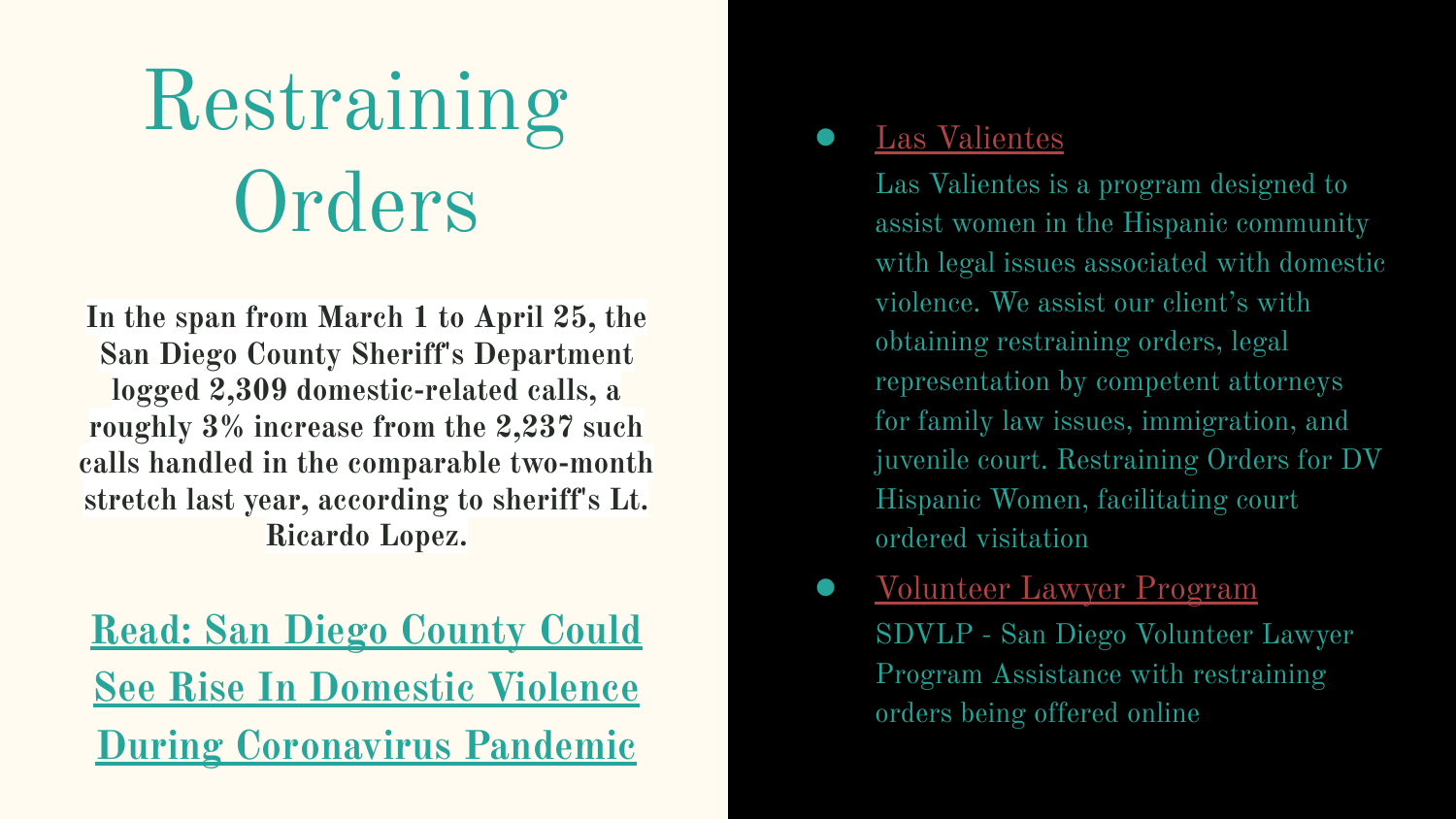# Restraining **Orders**

**In the span from March 1 to April 25, the San Diego County Sheriff's Department logged 2,309 domestic-related calls, a roughly 3% increase from the 2,237 such calls handled in the comparable two-month stretch last year, according to sheriff's Lt. Ricardo Lopez.**

**[Read: San Diego County Could](https://www.kpbs.org/news/2020/apr/29/san-diego-rise-in-domestic-violence-coronavirus/) [See Rise In Domestic Violence](https://www.kpbs.org/news/2020/apr/29/san-diego-rise-in-domestic-violence-coronavirus/) [During Coronavirus Pandemic](https://www.kpbs.org/news/2020/apr/29/san-diego-rise-in-domestic-violence-coronavirus/)**

#### [Las Valientes](https://www.lasvalientes.org/)

Las Valientes is a program designed to assist women in the Hispanic community with legal issues associated with domestic violence. We assist our client's with obtaining restraining orders, legal representation by competent attorneys for family law issues, immigration, and juvenile court. Restraining Orders for DV Hispanic Women, facilitating court ordered visitation

● [Volunteer Lawyer Program](https://www.sdvlp.org/get-help/restraining-order-clinics/) SDVLP - San Diego Volunteer Lawyer Program Assistance with restraining orders being offered online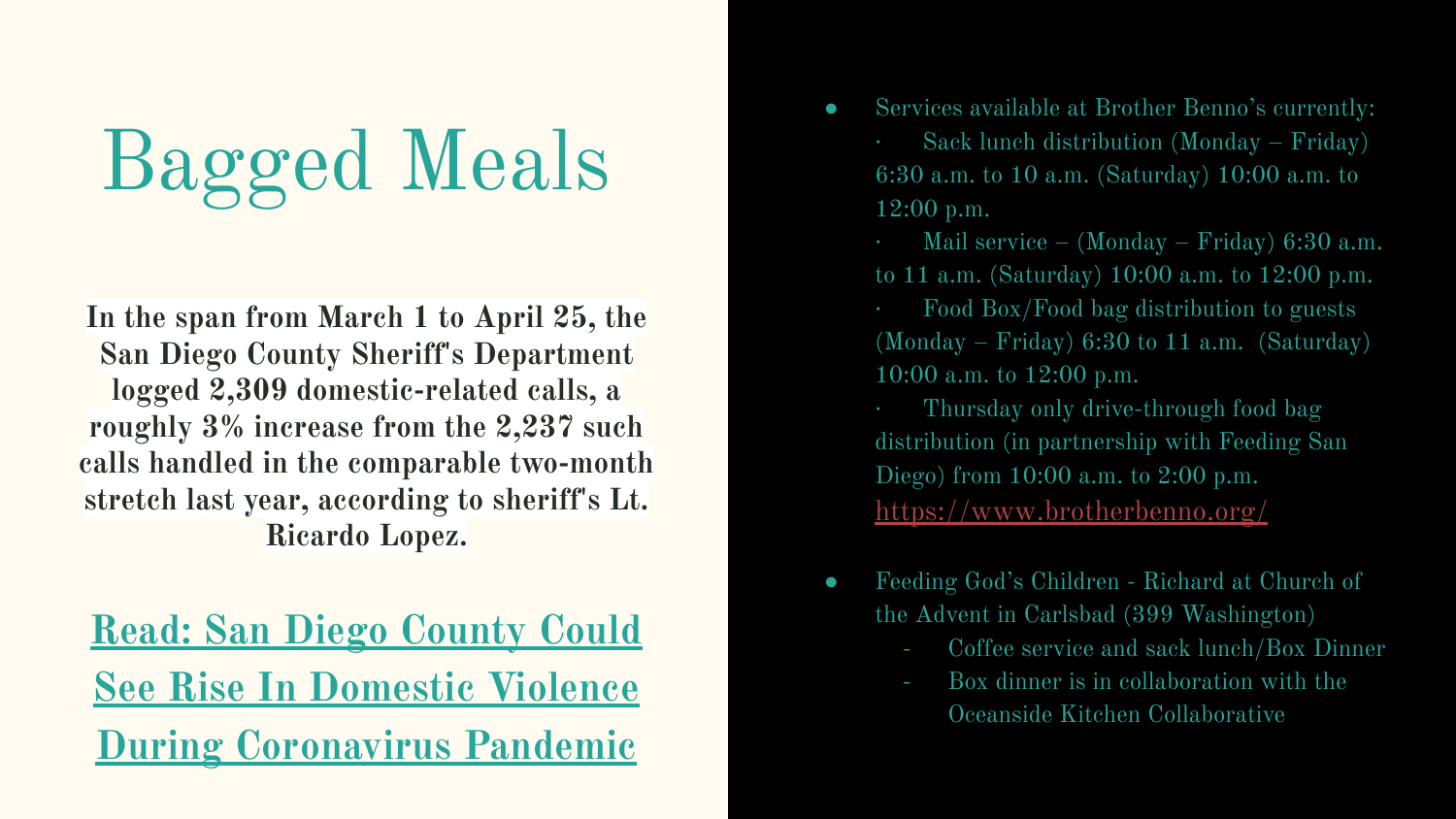# Bagged Meals

**In the span from March 1 to April 25, the San Diego County Sheriff's Department logged 2,309 domestic-related calls, a roughly 3% increase from the 2,237 such calls handled in the comparable two-month stretch last year, according to sheriff's Lt. Ricardo Lopez.**

**[Read: San Diego County Could](https://www.kpbs.org/news/2020/apr/29/san-diego-rise-in-domestic-violence-coronavirus/) [See Rise In Domestic Violence](https://www.kpbs.org/news/2020/apr/29/san-diego-rise-in-domestic-violence-coronavirus/) [During Coronavirus Pandemic](https://www.kpbs.org/news/2020/apr/29/san-diego-rise-in-domestic-violence-coronavirus/)**

- Services available at Brother Benno's currently: · Sack lunch distribution (Monday – Friday) 6:30 a.m. to 10 a.m. (Saturday) 10:00 a.m. to 12:00 p.m.
	- Mail service (Monday Friday)  $6:30$  a.m. to 11 a.m. (Saturday) 10:00 a.m. to 12:00 p.m.
	- · Food Box/Food bag distribution to guests (Monday – Friday)  $6:30$  to 11 a.m. (Saturday) 10:00 a.m. to 12:00 p.m.
	- · Thursday only drive-through food bag distribution (in partnership with Feeding San Diego) from 10:00 a.m. to 2:00 p.m. <https://www.brotherbenno.org/>
- Feeding God's Children Richard at Church of the Advent in Carlsbad (399 Washington)
	- Coffee service and sack lunch/Box Dinner
	- Box dinner is in collaboration with the Oceanside Kitchen Collaborative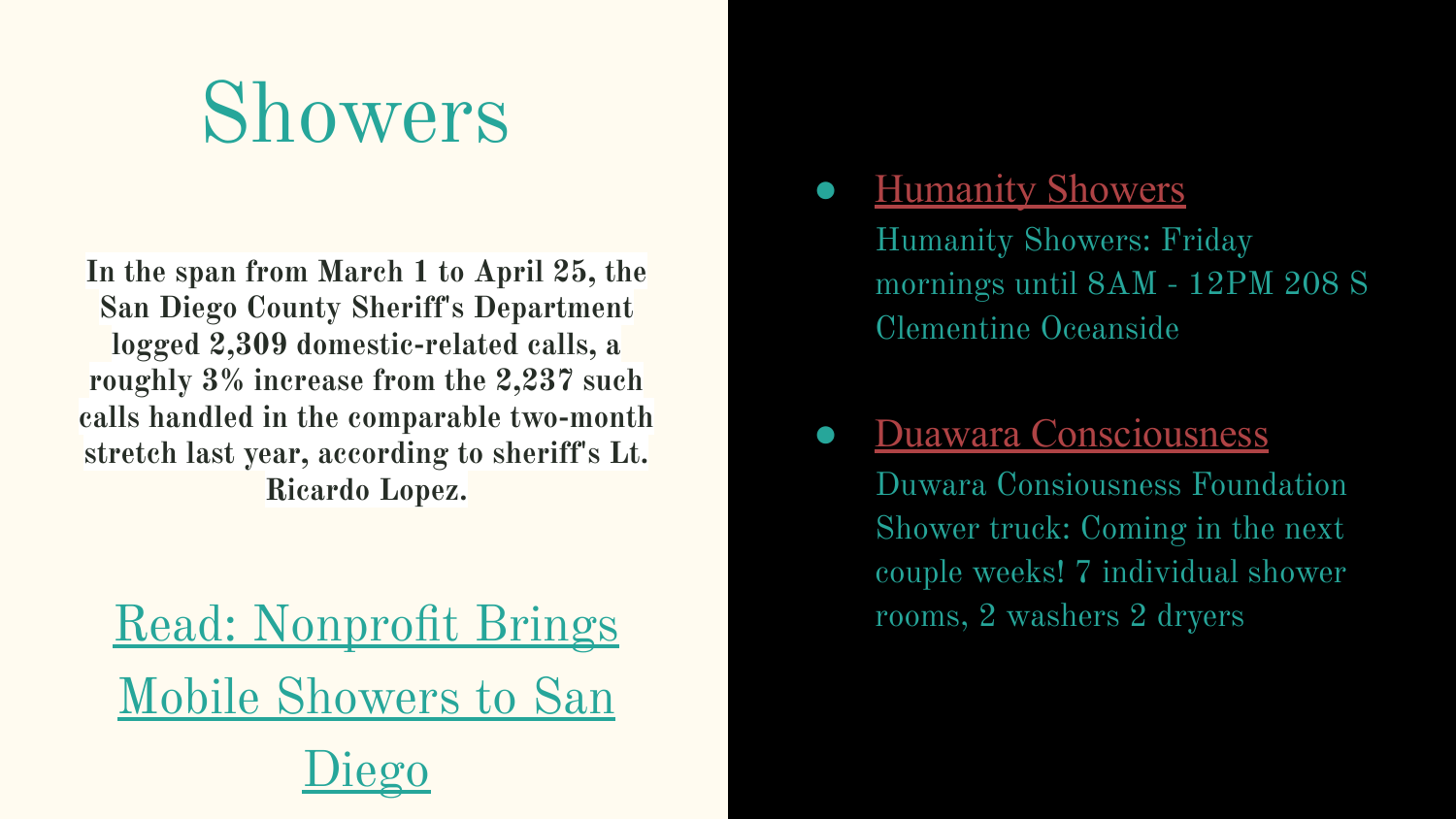## Showers

**In the span from March 1 to April 25, the San Diego County Sheriff's Department logged 2,309 domestic-related calls, a roughly 3% increase from the 2,237 such calls handled in the comparable two-month stretch last year, according to sheriff's Lt. Ricardo Lopez.**

[Read: Nonprofit Brings](https://www.sandiegouniontribune.com/news/homelessness/story/2020-01-20/nonprofit-plans-to-bring-mobile-showers-to-san-diegos-homeless) [Mobile Showers to San](https://www.sandiegouniontribune.com/news/homelessness/story/2020-01-20/nonprofit-plans-to-bring-mobile-showers-to-san-diegos-homeless) [Diego](https://www.sandiegouniontribune.com/news/homelessness/story/2020-01-20/nonprofit-plans-to-bring-mobile-showers-to-san-diegos-homeless)

### **[Humanity Showers](https://www.humanityshowers.org/about)**

Humanity Showers: Friday mornings until 8AM - 12PM 208 S Clementine Oceanside

### **[Duawara Consciousness](https://www.duwara.org/what-we-do/)**

Duwara Consiousness Foundation Shower truck: Coming in the next couple weeks! 7 individual shower rooms, 2 washers 2 dryers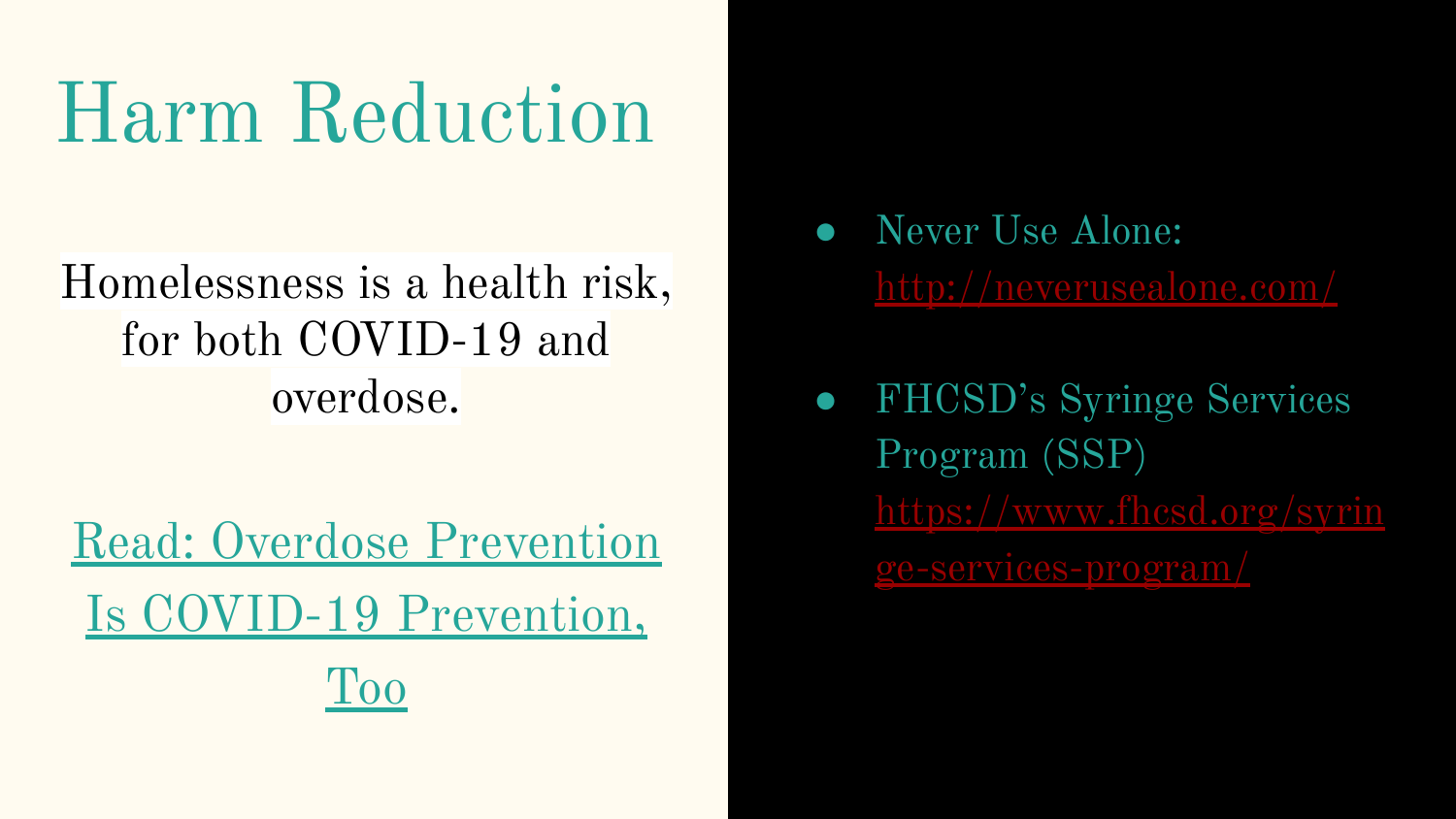## Harm Reduction

### Homelessness is a health risk, for both COVID-19 and overdose.

[Read: Overdose Prevention](https://filtermag.org/overdose-prevention-coronavirus/) [Is COVID-19 Prevention,](https://filtermag.org/overdose-prevention-coronavirus/) [Too](https://filtermag.org/overdose-prevention-coronavirus/)

- Never Use Alone: <http://neverusealone.com/>
- FHCSD's Syringe Services Program (SSP) [https://www.fhcsd.org/syrin](https://www.fhcsd.org/syringe-services-program/) [ge-services-program/](https://www.fhcsd.org/syringe-services-program/)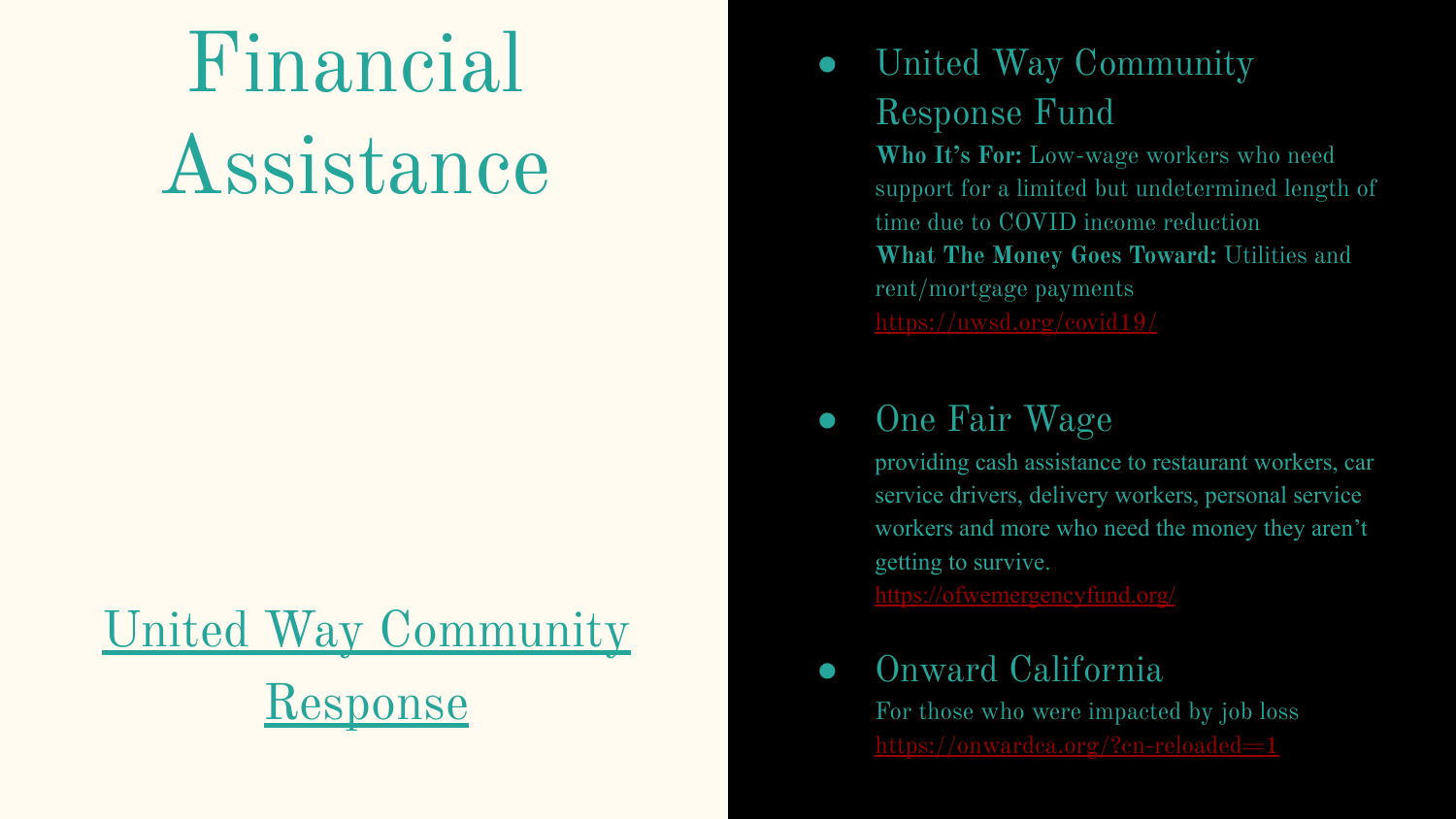# Financial Assistance

## [United Way Community](https://uwsd.org/covid19/) [Response](https://uwsd.org/covid19/)

### ● United Way Community Response Fund

**Who It's For:** Low-wage workers who need support for a limited but undetermined length of time due to COVID income reduction **What The Money Goes Toward:** Utilities and rent/mortgage payments <https://uwsd.org/covid19/>

### ● One Fair Wage

providing cash assistance to restaurant workers, car service drivers, delivery workers, personal service workers and more who need the money they aren't getting to survive.

<https://ofwemergencyfund.org/>

### ● Onward California

For those who were impacted by job loss <https://onwardca.org/?cn-reloaded=1>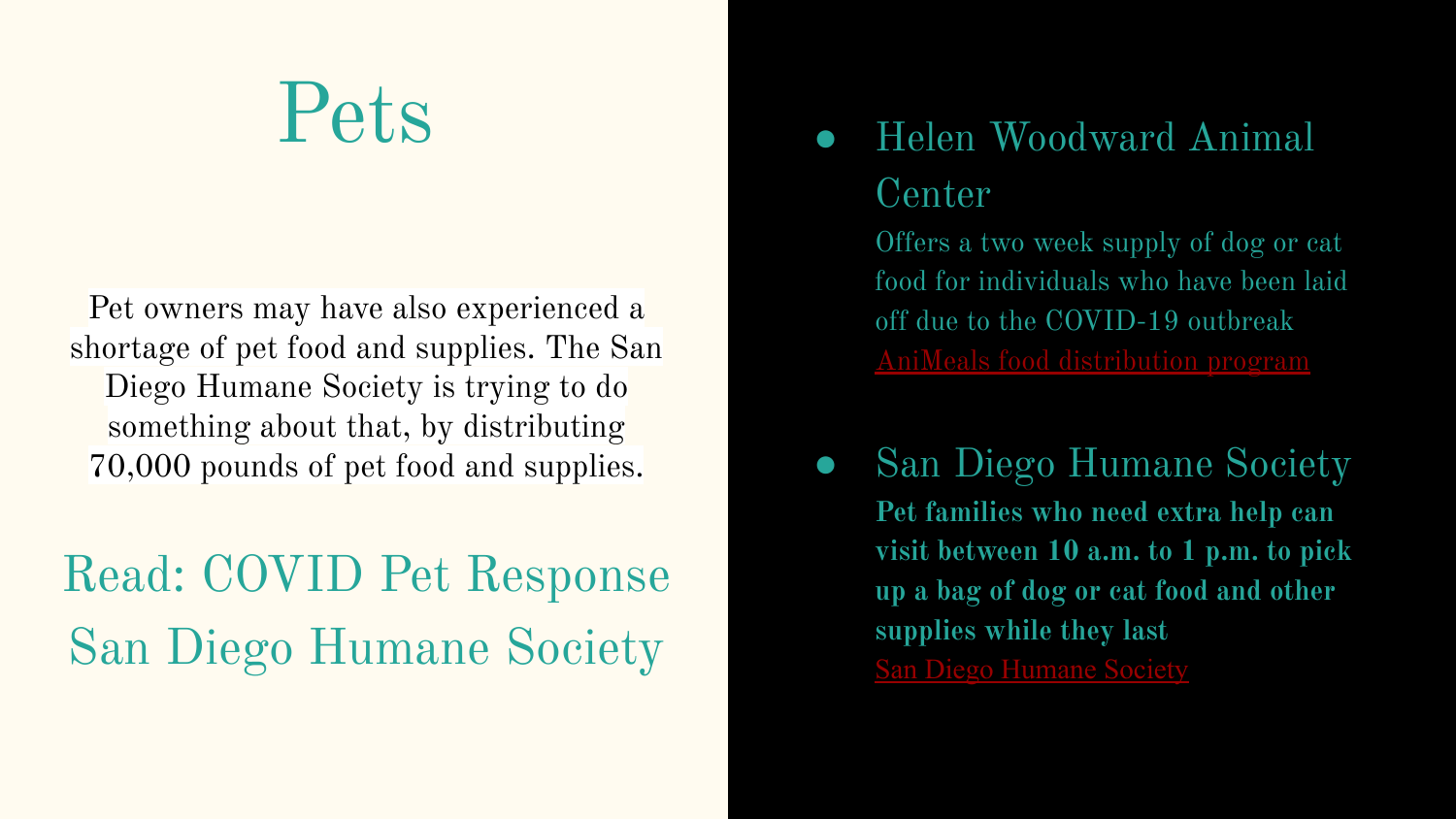## Pets

Pet owners may have also experienced a shortage of pet food and supplies. The [San](http://sdhumane.org/) [Diego Humane Society](http://sdhumane.org/) is trying to do something about that, by distributing 70,000 pounds of pet food and supplies.

## [Read: COVID Pet Response](https://www.kpbs.org/news/2020/mar/24/humane-society-responds-covid-19-shortages-pet-foo/)  [San Diego Humane Society](https://www.kpbs.org/news/2020/mar/24/humane-society-responds-covid-19-shortages-pet-foo/)

### ● Helen Woodward Animal Center

Offers a two week supply of dog or cat food for individuals who have been laid off due to the COVID-19 outbreak [AniMeals food distribution program](https://animalcenter.org/programs-services/animeals/animeals-relief)

San Diego Humane Society **Pet families who need extra help can visit between 10 a.m. to 1 p.m. to pick up a bag of dog or cat food and other supplies while they last** [San Diego Humane Society](https://www.sdhumane.org/about-us/news-center/emergency-updates/)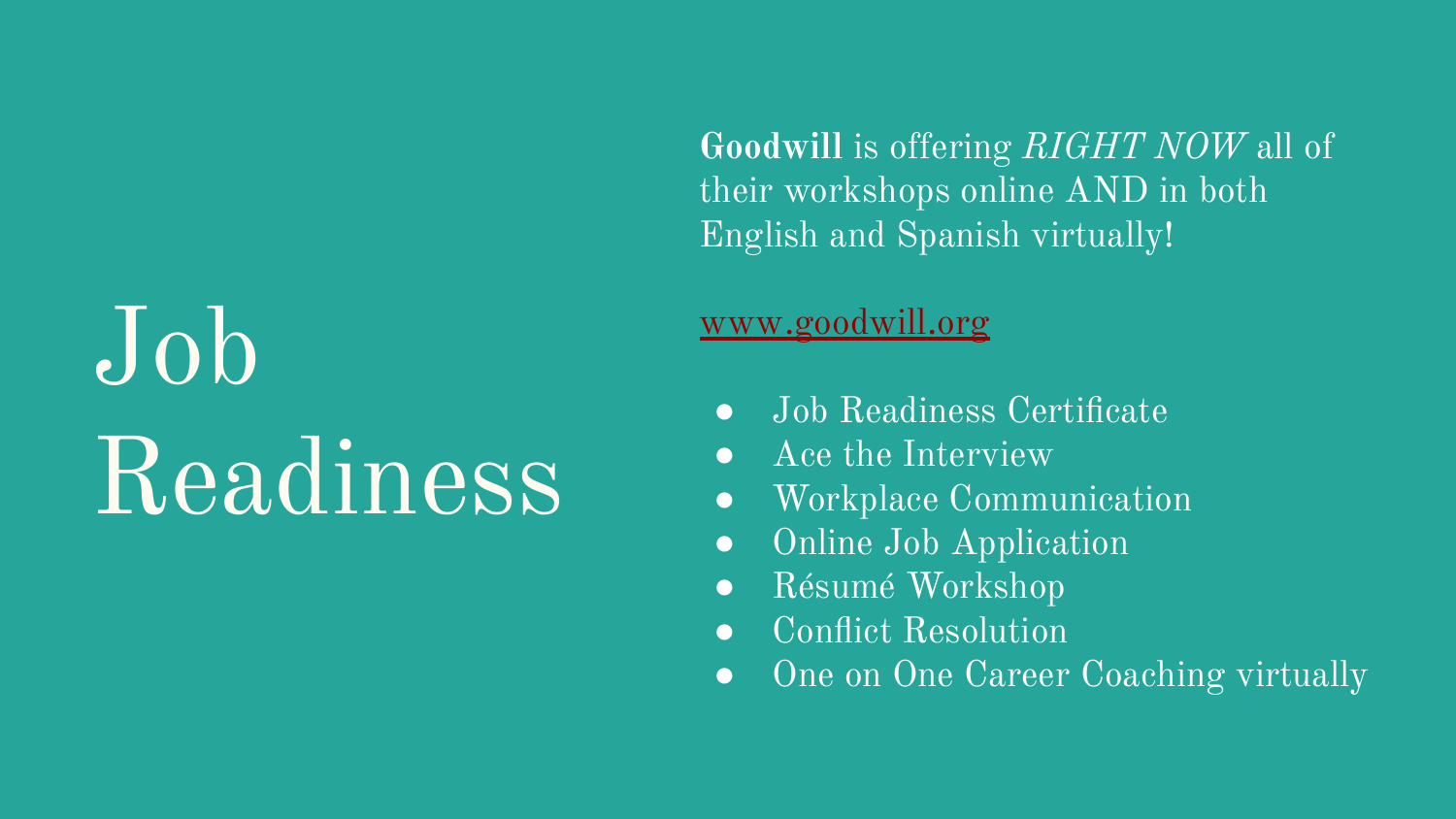# Job Readiness

**Goodwill** is offering *RIGHT NOW* all of their workshops online AND in both English and Spanish virtually!

#### [www.goodwill.org](http://www.goodwill.org)

- Job Readiness Certificate
- Ace the Interview
- Workplace Communication
- Online Job Application
- Résumé Workshop
- Conflict Resolution
- One on One Career Coaching virtually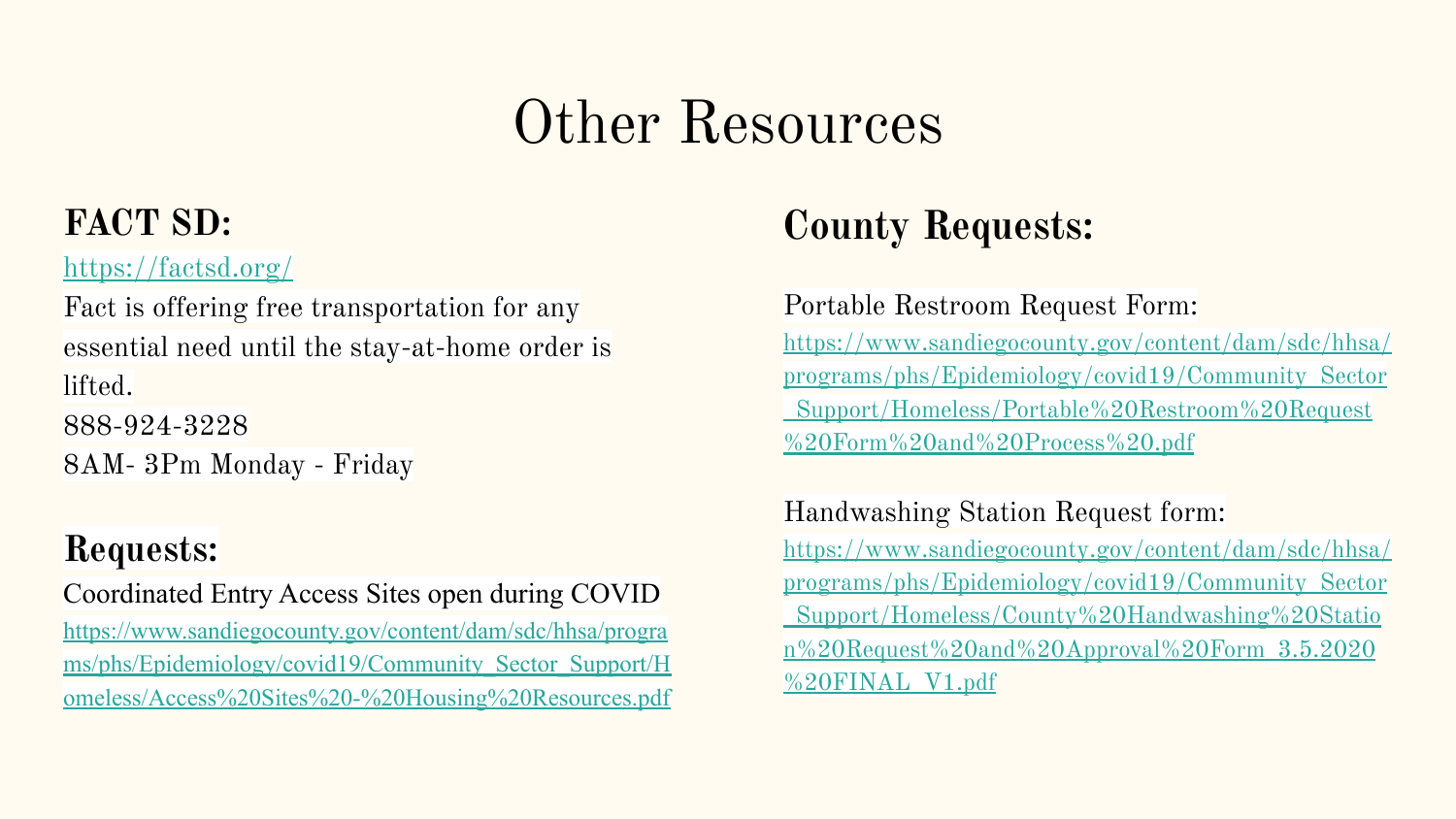## Other Resources

### **FACT SD:**

#### <https://factsd.org/>

Fact is offering free transportation for any essential need until the stay-at-home order is lifted. 888-924-3228 8AM- 3Pm Monday - Friday

### **Requests:**

Coordinated Entry Access Sites open during COVID [https://www.sandiegocounty.gov/content/dam/sdc/hhsa/progra](https://www.sandiegocounty.gov/content/dam/sdc/hhsa/programs/phs/Epidemiology/covid19/Community_Sector_Support/Homeless/Access%20Sites%20-%20Housing%20Resources.pdf) [ms/phs/Epidemiology/covid19/Community\\_Sector\\_Support/H](https://www.sandiegocounty.gov/content/dam/sdc/hhsa/programs/phs/Epidemiology/covid19/Community_Sector_Support/Homeless/Access%20Sites%20-%20Housing%20Resources.pdf) [omeless/Access%20Sites%20-%20Housing%20Resources.pdf](https://www.sandiegocounty.gov/content/dam/sdc/hhsa/programs/phs/Epidemiology/covid19/Community_Sector_Support/Homeless/Access%20Sites%20-%20Housing%20Resources.pdf)

### **County Requests:**

#### Portable Restroom Request Form:

[https://www.sandiegocounty.gov/content/dam/sdc/hhsa/](https://www.sandiegocounty.gov/content/dam/sdc/hhsa/programs/phs/Epidemiology/covid19/Community_Sector_Support/Homeless/Portable%20Restroom%20Request%20Form%20and%20Process%20.pdf) [programs/phs/Epidemiology/covid19/Community\\_Sector](https://www.sandiegocounty.gov/content/dam/sdc/hhsa/programs/phs/Epidemiology/covid19/Community_Sector_Support/Homeless/Portable%20Restroom%20Request%20Form%20and%20Process%20.pdf) [\\_Support/Homeless/Portable%20Restroom%20Request](https://www.sandiegocounty.gov/content/dam/sdc/hhsa/programs/phs/Epidemiology/covid19/Community_Sector_Support/Homeless/Portable%20Restroom%20Request%20Form%20and%20Process%20.pdf) [%20Form%20and%20Process%20.pdf](https://www.sandiegocounty.gov/content/dam/sdc/hhsa/programs/phs/Epidemiology/covid19/Community_Sector_Support/Homeless/Portable%20Restroom%20Request%20Form%20and%20Process%20.pdf)

#### Handwashing Station Request form:

[https://www.sandiegocounty.gov/content/dam/sdc/hhsa/](https://www.sandiegocounty.gov/content/dam/sdc/hhsa/programs/phs/Epidemiology/covid19/Community_Sector_Support/Homeless/County%20Handwashing%20Station%20Request%20and%20Approval%20Form_3.5.2020%20FINAL_V1.pdf) [programs/phs/Epidemiology/covid19/Community\\_Sector](https://www.sandiegocounty.gov/content/dam/sdc/hhsa/programs/phs/Epidemiology/covid19/Community_Sector_Support/Homeless/County%20Handwashing%20Station%20Request%20and%20Approval%20Form_3.5.2020%20FINAL_V1.pdf) [\\_Support/Homeless/County%20Handwashing%20Statio](https://www.sandiegocounty.gov/content/dam/sdc/hhsa/programs/phs/Epidemiology/covid19/Community_Sector_Support/Homeless/County%20Handwashing%20Station%20Request%20and%20Approval%20Form_3.5.2020%20FINAL_V1.pdf) [n%20Request%20and%20Approval%20Form\\_3.5.2020](https://www.sandiegocounty.gov/content/dam/sdc/hhsa/programs/phs/Epidemiology/covid19/Community_Sector_Support/Homeless/County%20Handwashing%20Station%20Request%20and%20Approval%20Form_3.5.2020%20FINAL_V1.pdf) [%20FINAL\\_V1.pdf](https://www.sandiegocounty.gov/content/dam/sdc/hhsa/programs/phs/Epidemiology/covid19/Community_Sector_Support/Homeless/County%20Handwashing%20Station%20Request%20and%20Approval%20Form_3.5.2020%20FINAL_V1.pdf)